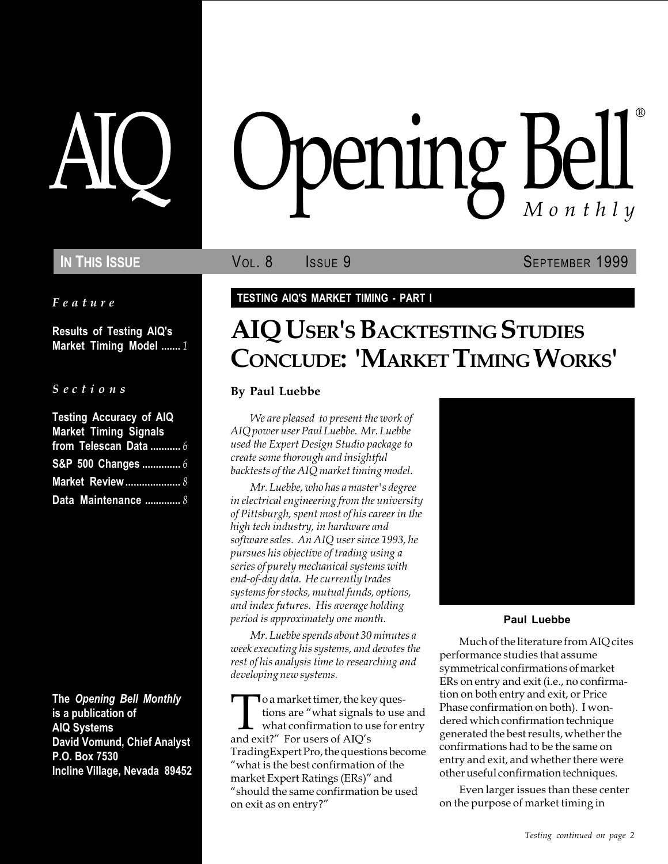Feature

Results of Testing AIQ's Market Timing Model ....... 1

S e c t i o n s

| <b>Testing Accuracy of AIQ</b> |
|--------------------------------|
| <b>Market Timing Signals</b>   |
| from Telescan Data $6$         |
| S&P 500 Changes  6             |
| <b>Market Review </b> 8        |
| Data Maintenance  8            |

The Opening Bell Monthly is a publication of AIQ Systems David Vomund, Chief Analyst P.O. Box 7530 Incline Village, Nevada 89452

# pening Bell ®

In This Issue **SEPTEMBER 1999** Vol. 8 **SEPTEMBER 1999** 

## TESTING AIQ'S MARKET TIMING - PART I

# AIQ USER'S BACKTESTING STUDIES CONCLUDE: 'MARKET TIMING WORKS'

#### By Paul Luebbe

We are pleased to present the work of AIQ power user Paul Luebbe. Mr. Luebbe used the Expert Design Studio package to create some thorough and insightful backtests of the AIQ market timing model.

Mr. Luebbe, who has a master's degree in electrical engineering from the university of Pittsburgh, spent most of his career in the high tech industry, in hardware and software sales. An AIQ user since 1993, he pursues his objective of trading using a series of purely mechanical systems with end-of-day data. He currently trades systems for stocks, mutual funds, options, and index futures. His average holding period is approximately one month.

Mr. Luebbe spends about 30 minutes a week executing his systems, and devotes the rest of his analysis time to researching and developing new systems.

To a market timer, the key ques-<br>tions are "what signals to use<br>what confirmation to use for er<br>and exit?" For users of AIQ's tions are "what signals to use and what confirmation to use for entry and exit?" For users of AIQ's TradingExpert Pro, the questions become what is the best confirmation of the market Expert Ratings (ERs)" and should the same confirmation be used on exit as on entry?



#### Paul Luebbe

Much of the literature from AIQ cites performance studies that assume symmetrical confirmations of market ERs on entry and exit (i.e., no confirmation on both entry and exit, or Price Phase confirmation on both). I wondered which confirmation technique generated the best results, whether the confirmations had to be the same on entry and exit, and whether there were other useful confirmation techniques.

Even larger issues than these center on the purpose of market timing in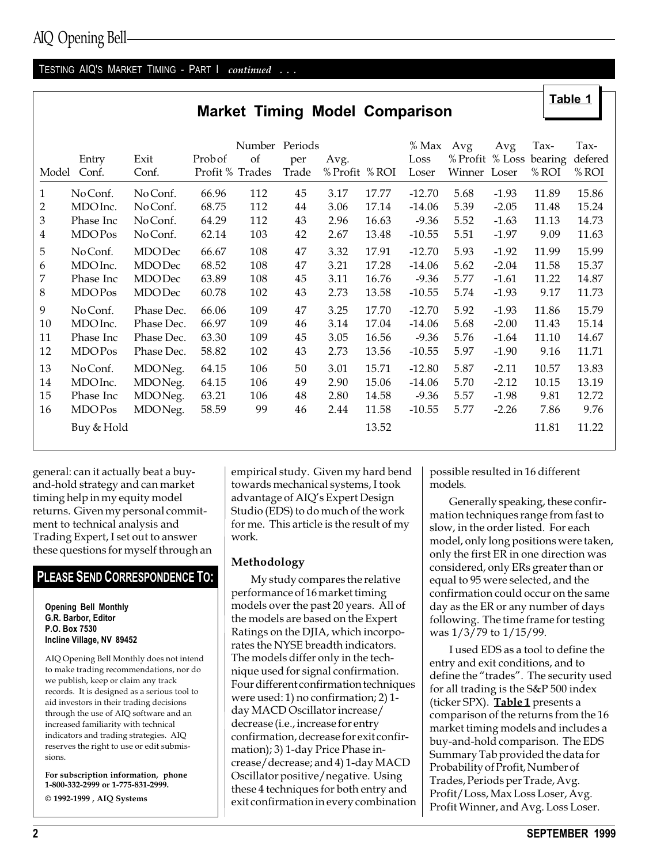## AIQ Opening Bell

#### TESTING AIQ'S MARKET TIMING - PART | continued . . .

|  |  |  | <b>Market Timing Model Comparison</b> |
|--|--|--|---------------------------------------|
|--|--|--|---------------------------------------|

| Model        | Entry<br>Conf. | Exit<br>Conf. | Probof<br>Profit % Trades | Number Periods<br>of | per<br>Trade | Avg.<br>% Profit % ROI |       | % Max<br>Loss<br>Loser | Avg<br>Winner Loser | Avg     | Tax-<br>% Profit % Loss bearing<br>% ROI | Tax-<br>defered<br>% ROI |
|--------------|----------------|---------------|---------------------------|----------------------|--------------|------------------------|-------|------------------------|---------------------|---------|------------------------------------------|--------------------------|
| $\mathbf{1}$ | No Conf.       | No Conf.      | 66.96                     | 112                  | 45           | 3.17                   | 17.77 | $-12.70$               | 5.68                | $-1.93$ | 11.89                                    | 15.86                    |
| 2            | MDO Inc.       | No Conf.      | 68.75                     | 112                  | 44           | 3.06                   | 17.14 | $-14.06$               | 5.39                | $-2.05$ | 11.48                                    | 15.24                    |
| 3            | Phase Inc      | No Conf.      | 64.29                     | 112                  | 43           | 2.96                   | 16.63 | $-9.36$                | 5.52                | $-1.63$ | 11.13                                    | 14.73                    |
| 4            | <b>MDOP</b> os | No Conf.      | 62.14                     | 103                  | 42           | 2.67                   | 13.48 | $-10.55$               | 5.51                | $-1.97$ | 9.09                                     | 11.63                    |
| 5            | No Conf.       | <b>MDODec</b> | 66.67                     | 108                  | 47           | 3.32                   | 17.91 | $-12.70$               | 5.93                | $-1.92$ | 11.99                                    | 15.99                    |
| 6            | MDO Inc.       | <b>MDODec</b> | 68.52                     | 108                  | 47           | 3.21                   | 17.28 | $-14.06$               | 5.62                | $-2.04$ | 11.58                                    | 15.37                    |
| 7            | Phase Inc      | <b>MDODec</b> | 63.89                     | 108                  | 45           | 3.11                   | 16.76 | $-9.36$                | 5.77                | $-1.61$ | 11.22                                    | 14.87                    |
| 8            | <b>MDOP</b> os | <b>MDODec</b> | 60.78                     | 102                  | 43           | 2.73                   | 13.58 | $-10.55$               | 5.74                | $-1.93$ | 9.17                                     | 11.73                    |
| 9            | No Conf.       | Phase Dec.    | 66.06                     | 109                  | 47           | 3.25                   | 17.70 | $-12.70$               | 5.92                | $-1.93$ | 11.86                                    | 15.79                    |
| 10           | MDO Inc.       | Phase Dec.    | 66.97                     | 109                  | 46           | 3.14                   | 17.04 | $-14.06$               | 5.68                | $-2.00$ | 11.43                                    | 15.14                    |
| 11           | Phase Inc      | Phase Dec.    | 63.30                     | 109                  | 45           | 3.05                   | 16.56 | $-9.36$                | 5.76                | $-1.64$ | 11.10                                    | 14.67                    |
| 12           | <b>MDOP</b> os | Phase Dec.    | 58.82                     | 102                  | 43           | 2.73                   | 13.56 | $-10.55$               | 5.97                | $-1.90$ | 9.16                                     | 11.71                    |
| 13           | No Conf.       | MDONeg.       | 64.15                     | 106                  | 50           | 3.01                   | 15.71 | $-12.80$               | 5.87                | $-2.11$ | 10.57                                    | 13.83                    |
| 14           | MDO Inc.       | MDONeg.       | 64.15                     | 106                  | 49           | 2.90                   | 15.06 | $-14.06$               | 5.70                | $-2.12$ | 10.15                                    | 13.19                    |
| 15           | Phase Inc      | MDONeg.       | 63.21                     | 106                  | 48           | 2.80                   | 14.58 | $-9.36$                | 5.57                | $-1.98$ | 9.81                                     | 12.72                    |
| 16           | <b>MDOP</b> os | MDONeg.       | 58.59                     | 99                   | 46           | 2.44                   | 11.58 | $-10.55$               | 5.77                | $-2.26$ | 7.86                                     | 9.76                     |
|              | Buy & Hold     |               |                           |                      |              |                        | 13.52 |                        |                     |         | 11.81                                    | 11.22                    |

general: can it actually beat a buyand-hold strategy and can market timing help in my equity model returns. Given my personal commitment to technical analysis and Trading Expert, I set out to answer these questions for myself through an

#### PLEASE SEND CORRESPONDENCE TO:

Opening Bell Monthly G.R. Barbor, Editor P.O. Box 7530 Incline Village, NV 89452

AIQ Opening Bell Monthly does not intend to make trading recommendations, nor do we publish, keep or claim any track records. It is designed as a serious tool to aid investors in their trading decisions through the use of AIQ software and an increased familiarity with technical indicators and trading strategies. AIQ reserves the right to use or edit submissions.

For subscription information, phone 1-800-332-2999 or 1-775-831-2999. © 1992-1999 , AIQ Systems

empirical study. Given my hard bend towards mechanical systems, I took advantage of AIQ's Expert Design Studio (EDS) to do much of the work for me. This article is the result of my work.

#### Methodology

My study compares the relative performance of 16 market timing models over the past 20 years. All of the models are based on the Expert Ratings on the DJIA, which incorporates the NYSE breadth indicators. The models differ only in the technique used for signal confirmation. Four different confirmation techniques were used: 1) no confirmation; 2) 1 day MACD Oscillator increase/ decrease (i.e., increase for entry confirmation, decrease for exit confirmation); 3) 1-day Price Phase increase/decrease; and 4) 1-day MACD Oscillator positive/negative. Using these 4 techniques for both entry and exit confirmation in every combination possible resulted in 16 different models.

Generally speaking, these confirmation techniques range from fast to slow, in the order listed. For each model, only long positions were taken, only the first ER in one direction was considered, only ERs greater than or equal to 95 were selected, and the confirmation could occur on the same day as the ER or any number of days following. The time frame for testing was 1/3/79 to 1/15/99.

Table 1

I used EDS as a tool to define the entry and exit conditions, and to define the "trades". The security used for all trading is the S&P 500 index (ticker SPX). Table 1 presents a comparison of the returns from the 16 market timing models and includes a buy-and-hold comparison. The EDS Summary Tab provided the data for Probability of Profit, Number of Trades, Periods per Trade, Avg. Profit/Loss, Max Loss Loser, Avg. Profit Winner, and Avg. Loss Loser.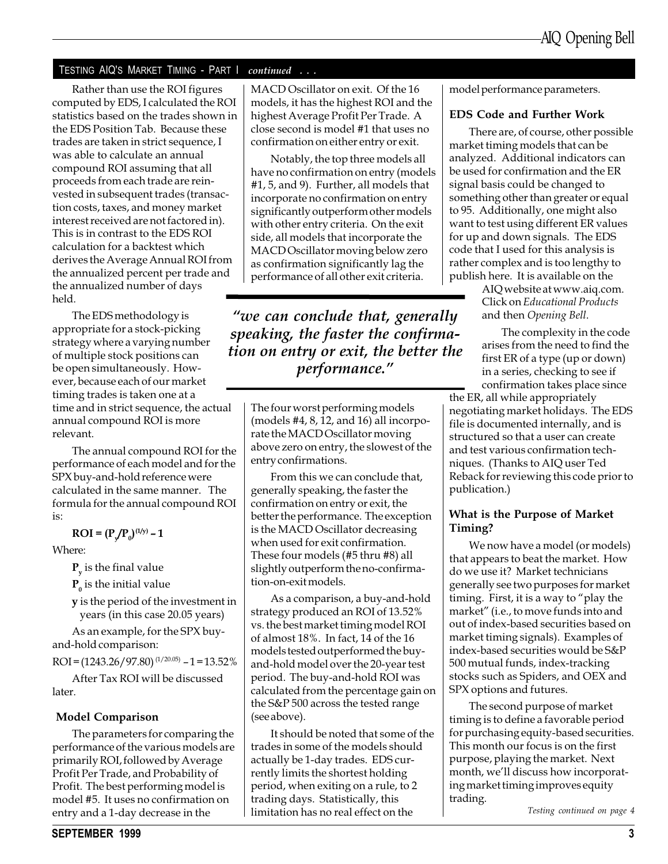#### TESTING AIQ'S MARKET TIMING - PART I continued . . .

Rather than use the ROI figures computed by EDS, I calculated the ROI statistics based on the trades shown in the EDS Position Tab. Because these trades are taken in strict sequence, I was able to calculate an annual compound ROI assuming that all proceeds from each trade are reinvested in subsequent trades (transaction costs, taxes, and money market interest received are not factored in). This is in contrast to the EDS ROI calculation for a backtest which derives the Average Annual ROI from the annualized percent per trade and the annualized number of days held.

The EDS methodology is appropriate for a stock-picking strategy where a varying number of multiple stock positions can be open simultaneously. However, because each of our market timing trades is taken one at a time and in strict sequence, the actual annual compound ROI is more relevant.

The annual compound ROI for the performance of each model and for the SPX buy-and-hold reference were calculated in the same manner. The formula for the annual compound ROI is:

 $ROI = (P_y / P_0)^{(1/y)} - 1$ 

Where:

 $P_{v}$  is the final value

 $\mathbf{P}_{_{\boldsymbol{0}}}$  is the initial value

y is the period of the investment in years (in this case 20.05 years)

As an example, for the SPX buyand-hold comparison:

 $ROI = (1243.26/97.80)^{(1/20.05)} - 1 = 13.52\%$ 

After Tax ROI will be discussed later.

#### Model Comparison

The parameters for comparing the performance of the various models are primarily ROI, followed by Average Profit Per Trade, and Probability of Profit. The best performing model is model #5. It uses no confirmation on entry and a 1-day decrease in the

MACD Oscillator on exit. Of the 16 models, it has the highest ROI and the highest Average Profit Per Trade. A close second is model #1 that uses no confirmation on either entry or exit.

Notably, the top three models all have no confirmation on entry (models #1, 5, and 9). Further, all models that incorporate no confirmation on entry significantly outperform other models with other entry criteria. On the exit side, all models that incorporate the MACD Oscillator moving below zero as confirmation significantly lag the performance of all other exit criteria.

"we can conclude that, generally speaking, the faster the confirmation on entry or exit, the better the performance.

The four worst performing models (models #4, 8, 12, and 16) all incorporate the MACD Oscillator moving above zero on entry, the slowest of the entry confirmations.

From this we can conclude that, generally speaking, the faster the confirmation on entry or exit, the better the performance. The exception is the MACD Oscillator decreasing when used for exit confirmation. These four models (#5 thru #8) all slightly outperform the no-confirmation-on-exit models.

As a comparison, a buy-and-hold strategy produced an ROI of 13.52% vs. the best market timing model ROI of almost 18%. In fact, 14 of the 16 models tested outperformed the buyand-hold model over the 20-year test period. The buy-and-hold ROI was calculated from the percentage gain on the S&P 500 across the tested range (see above).

It should be noted that some of the trades in some of the models should actually be 1-day trades. EDS currently limits the shortest holding period, when exiting on a rule, to 2 trading days. Statistically, this limitation has no real effect on the

model performance parameters.

#### EDS Code and Further Work

There are, of course, other possible market timing models that can be analyzed. Additional indicators can be used for confirmation and the ER signal basis could be changed to something other than greater or equal to 95. Additionally, one might also want to test using different ER values for up and down signals. The EDS code that I used for this analysis is rather complex and is too lengthy to publish here. It is available on the

AIQ website at www.aiq.com. Click on Educational Products and then Opening Bell.

The complexity in the code arises from the need to find the first ER of a type (up or down) in a series, checking to see if confirmation takes place since

the ER, all while appropriately negotiating market holidays. The EDS file is documented internally, and is structured so that a user can create and test various confirmation techniques. (Thanks to AIQ user Ted Reback for reviewing this code prior to publication.)

#### What is the Purpose of Market Timing?

We now have a model (or models) that appears to beat the market. How do we use it? Market technicians generally see two purposes for market timing. First, it is a way to "play the market" (i.e., to move funds into and out of index-based securities based on market timing signals). Examples of index-based securities would be S&P 500 mutual funds, index-tracking stocks such as Spiders, and OEX and SPX options and futures.

The second purpose of market timing is to define a favorable period for purchasing equity-based securities. This month our focus is on the first purpose, playing the market. Next month, we'll discuss how incorporating market timing improves equity trading.

Testing continued on page 4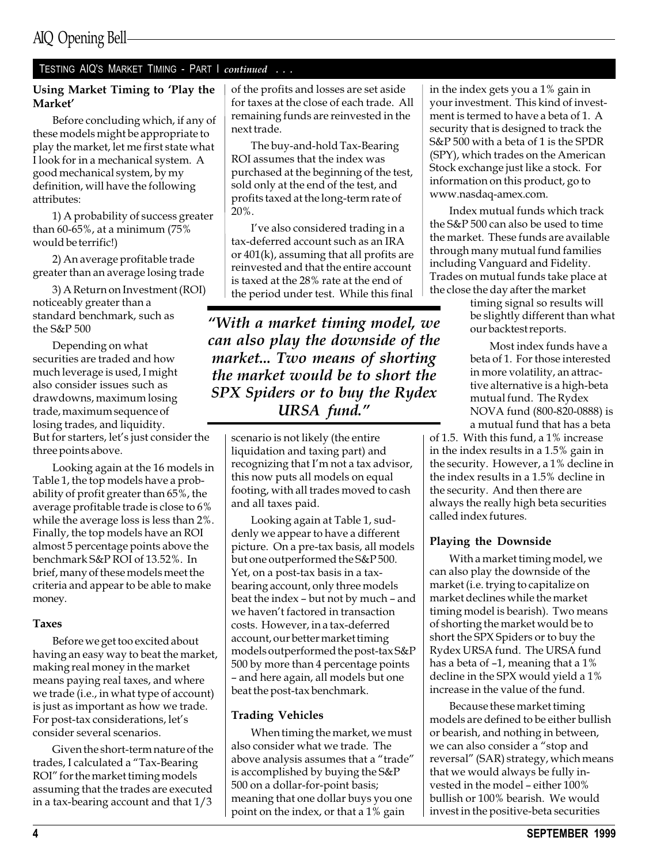## TESTING AIQ'S MARKET TIMING - PART I continued . . .

#### Using Market Timing to 'Play the Market

Before concluding which, if any of these models might be appropriate to play the market, let me first state what I look for in a mechanical system. A good mechanical system, by my definition, will have the following attributes:

1) A probability of success greater than 60-65%, at a minimum (75% would be terrific!)

2) An average profitable trade greater than an average losing trade

3) A Return on Investment (ROI) noticeably greater than a standard benchmark, such as the S&P 500

Depending on what securities are traded and how much leverage is used, I might also consider issues such as drawdowns, maximum losing trade, maximum sequence of losing trades, and liquidity. But for starters, let's just consider the three points above.

Looking again at the 16 models in Table 1, the top models have a probability of profit greater than 65%, the average profitable trade is close to 6% while the average loss is less than 2%. Finally, the top models have an ROI almost 5 percentage points above the benchmark S&P ROI of 13.52%. In brief, many of these models meet the criteria and appear to be able to make money.

#### Taxes

Before we get too excited about having an easy way to beat the market, making real money in the market means paying real taxes, and where we trade (i.e., in what type of account) is just as important as how we trade. For post-tax considerations, let's consider several scenarios.

Given the short-term nature of the trades, I calculated a "Tax-Bearing" ROI" for the market timing models assuming that the trades are executed in a tax-bearing account and that 1/3

of the profits and losses are set aside for taxes at the close of each trade. All remaining funds are reinvested in the next trade.

The buy-and-hold Tax-Bearing ROI assumes that the index was purchased at the beginning of the test, sold only at the end of the test, and profits taxed at the long-term rate of 20%.

I've also considered trading in a tax-deferred account such as an IRA or 401(k), assuming that all profits are reinvested and that the entire account is taxed at the 28% rate at the end of the period under test. While this final

With a market timing model, we can also play the downside of the market... Two means of shorting the market would be to short the SPX Spiders or to buy the Rydex URSA fund.

scenario is not likely (the entire liquidation and taxing part) and recognizing that I'm not a tax advisor, this now puts all models on equal footing, with all trades moved to cash and all taxes paid.

Looking again at Table 1, suddenly we appear to have a different picture. On a pre-tax basis, all models but one outperformed the S&P 500. Yet, on a post-tax basis in a taxbearing account, only three models beat the index - but not by much - and we haven't factored in transaction costs. However, in a tax-deferred account, our better market timing models outperformed the post-tax S&P 500 by more than 4 percentage points and here again, all models but one beat the post-tax benchmark.

#### Trading Vehicles

When timing the market, we must also consider what we trade. The above analysis assumes that a "trade" is accomplished by buying the S&P 500 on a dollar-for-point basis; meaning that one dollar buys you one point on the index, or that a 1% gain

in the index gets you a 1% gain in your investment. This kind of investment is termed to have a beta of 1. A security that is designed to track the S&P 500 with a beta of 1 is the SPDR (SPY), which trades on the American Stock exchange just like a stock. For information on this product, go to www.nasdaq-amex.com.

Index mutual funds which track the S&P 500 can also be used to time the market. These funds are available through many mutual fund families including Vanguard and Fidelity. Trades on mutual funds take place at the close the day after the market

timing signal so results will be slightly different than what our backtest reports.

Most index funds have a beta of 1. For those interested in more volatility, an attractive alternative is a high-beta mutual fund. The Rydex NOVA fund (800-820-0888) is a mutual fund that has a beta

of 1.5. With this fund, a 1% increase in the index results in a 1.5% gain in the security. However, a 1% decline in the index results in a 1.5% decline in the security. And then there are always the really high beta securities called index futures.

#### Playing the Downside

With a market timing model, we can also play the downside of the market (i.e. trying to capitalize on market declines while the market timing model is bearish). Two means of shorting the market would be to short the SPX Spiders or to buy the Rydex URSA fund. The URSA fund has a beta of  $-1$ , meaning that a  $1\%$ decline in the SPX would yield a 1% increase in the value of the fund.

Because these market timing models are defined to be either bullish or bearish, and nothing in between, we can also consider a "stop and reversal" (SAR) strategy, which means that we would always be fully invested in the model - either 100% bullish or 100% bearish. We would invest in the positive-beta securities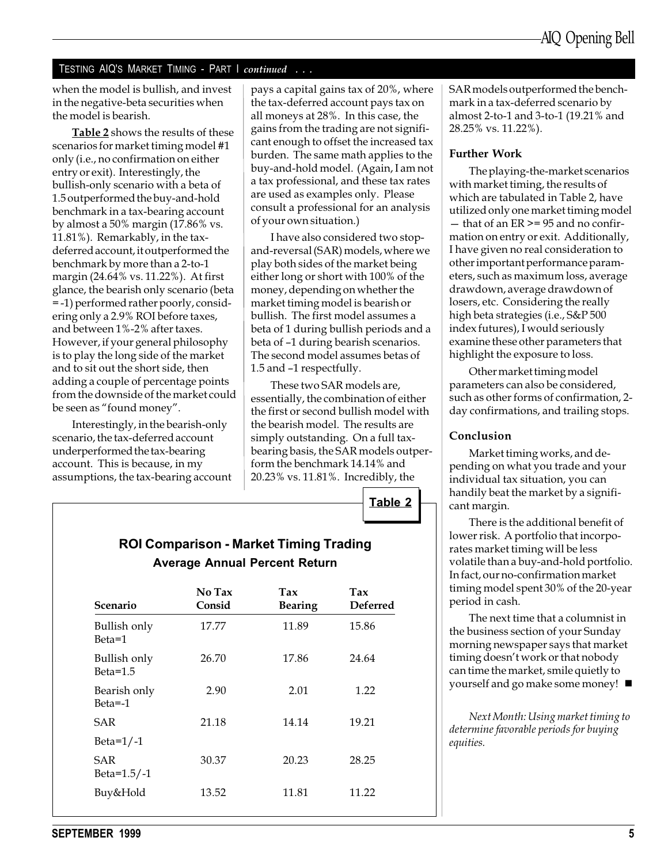#### TESTING AIQ'S MARKET TIMING - PART I continued . . .

when the model is bullish, and invest in the negative-beta securities when the model is bearish.

Table 2 shows the results of these scenarios for market timing model #1 only (i.e., no confirmation on either entry or exit). Interestingly, the bullish-only scenario with a beta of 1.5 outperformed the buy-and-hold benchmark in a tax-bearing account by almost a 50% margin (17.86% vs. 11.81%). Remarkably, in the taxdeferred account, it outperformed the benchmark by more than a 2-to-1 margin (24.64% vs. 11.22%). At first glance, the bearish only scenario (beta = -1) performed rather poorly, considering only a 2.9% ROI before taxes, and between 1%-2% after taxes. However, if your general philosophy is to play the long side of the market and to sit out the short side, then adding a couple of percentage points from the downside of the market could be seen as "found money".

Interestingly, in the bearish-only scenario, the tax-deferred account underperformed the tax-bearing account. This is because, in my assumptions, the tax-bearing account

pays a capital gains tax of 20%, where the tax-deferred account pays tax on all moneys at 28%. In this case, the gains from the trading are not significant enough to offset the increased tax burden. The same math applies to the buy-and-hold model. (Again, I am not a tax professional, and these tax rates are used as examples only. Please consult a professional for an analysis of your own situation.)

I have also considered two stopand-reversal (SAR) models, where we play both sides of the market being either long or short with 100% of the money, depending on whether the market timing model is bearish or bullish. The first model assumes a beta of 1 during bullish periods and a beta of -1 during bearish scenarios. The second model assumes betas of 1.5 and -1 respectfully.

These two SAR models are, essentially, the combination of either the first or second bullish model with the bearish model. The results are simply outstanding. On a full taxbearing basis, the SAR models outperform the benchmark 14.14% and 20.23% vs. 11.81%. Incredibly, the

Table 2

ROI Comparison - Market Timing Trading Average Annual Percent Return

| Scenario                    | No Tax<br>Consid | Tax<br><b>Bearing</b> | $\mathbf{T}$ ax<br><b>Deferred</b> |  |  |
|-----------------------------|------------------|-----------------------|------------------------------------|--|--|
| Bullish only<br>Beta=1      | 17.77            | 11.89                 | 15.86                              |  |  |
| Bullish only<br>Beta= $1.5$ | 26.70            | 17.86                 | 24.64                              |  |  |
| Bearish only<br>$Beta = -1$ | 2.90             | 2.01                  | 1.22                               |  |  |
| SAR                         | 21.18            | 14.14                 | 19.21                              |  |  |
| Beta= $1/-1$                |                  |                       |                                    |  |  |
| SAR<br>Beta= $1.5/-1$       | 30.37            | 20.23                 | 28.25                              |  |  |
| Buy&Hold                    | 13.52            | 11.81                 | 11.22                              |  |  |

SAR models outperformed the benchmark in a tax-deferred scenario by almost 2-to-1 and 3-to-1 (19.21% and 28.25% vs. 11.22%).

#### Further Work

The playing-the-market scenarios with market timing, the results of which are tabulated in Table 2, have utilized only one market timing model  $-$  that of an ER  $>= 95$  and no confirmation on entry or exit. Additionally, I have given no real consideration to other important performance parameters, such as maximum loss, average drawdown, average drawdown of losers, etc. Considering the really high beta strategies (i.e., S&P 500 index futures), I would seriously examine these other parameters that highlight the exposure to loss.

Other market timing model parameters can also be considered, such as other forms of confirmation, 2 day confirmations, and trailing stops.

#### Conclusion

Market timing works, and depending on what you trade and your individual tax situation, you can handily beat the market by a significant margin.

There is the additional benefit of lower risk. A portfolio that incorporates market timing will be less volatile than a buy-and-hold portfolio. In fact, our no-confirmation market timing model spent 30% of the 20-year period in cash.

The next time that a columnist in the business section of your Sunday morning newspaper says that market timing doesn't work or that nobody can time the market, smile quietly to yourself and go make some money! ■

Next Month: Using market timing to determine favorable periods for buying equities.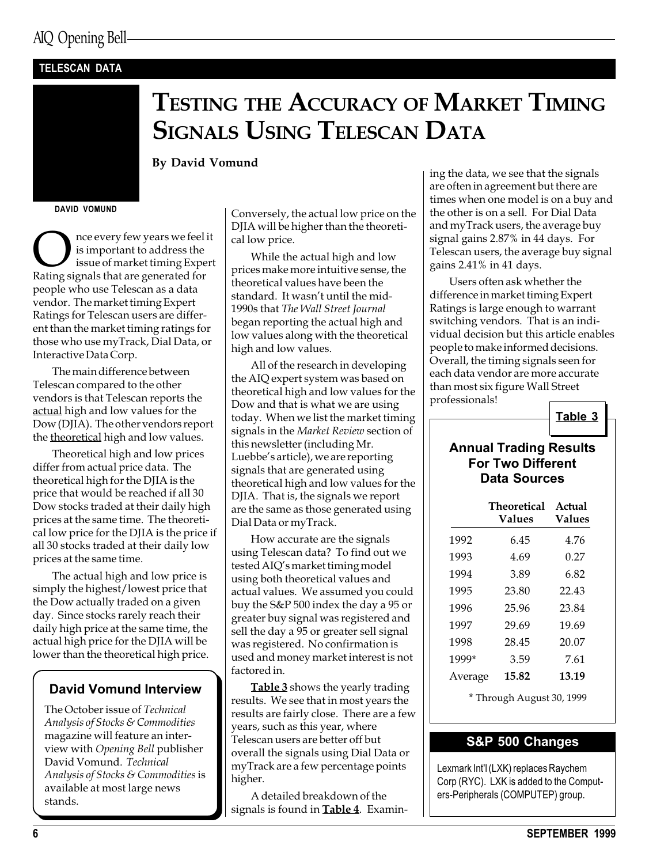#### TELESCAN DATA

## TESTING THE ACCURACY OF MARKET TIMING SIGNALS USING TELESCAN DATA

By David Vomund

DAVID VOMUND

 $\sum_{\text{is important to address the}}$  is important to address the<br>issue of market timing Exper<br>Rating signals that are generated for is important to address the issue of market timing Expert people who use Telescan as a data vendor. The market timing Expert Ratings for Telescan users are different than the market timing ratings for those who use myTrack, Dial Data, or Interactive Data Corp.

The main difference between Telescan compared to the other vendors is that Telescan reports the actual high and low values for the Dow (DJIA). The other vendors report the <u>theoretical</u> high and low values.

Theoretical high and low prices differ from actual price data. The theoretical high for the DJIA is the price that would be reached if all 30 Dow stocks traded at their daily high prices at the same time. The theoretical low price for the DJIA is the price if all 30 stocks traded at their daily low prices at the same time.

The actual high and low price is simply the highest/lowest price that the Dow actually traded on a given day. Since stocks rarely reach their daily high price at the same time, the actual high price for the DJIA will be lower than the theoretical high price.

#### David Vomund Interview

The October issue of Technical Analysis of Stocks & Commodities magazine will feature an interview with Opening Bell publisher David Vomund. Technical Analysis of Stocks & Commodities is available at most large news stands.

Conversely, the actual low price on the DJIA will be higher than the theoretical low price.

While the actual high and low prices make more intuitive sense, the theoretical values have been the standard. It wasn't until the mid-1990s that The Wall Street Journal began reporting the actual high and low values along with the theoretical high and low values.

All of the research in developing the AIQ expert system was based on theoretical high and low values for the Dow and that is what we are using today. When we list the market timing signals in the Market Review section of this newsletter (including Mr. Luebbe's article), we are reporting signals that are generated using theoretical high and low values for the DJIA. That is, the signals we report are the same as those generated using Dial Data or myTrack.

How accurate are the signals using Telescan data? To find out we tested AIQ's market timing model using both theoretical values and actual values. We assumed you could buy the S&P 500 index the day a 95 or greater buy signal was registered and sell the day a 95 or greater sell signal was registered. No confirmation is used and money market interest is not factored in.

**Table 3** shows the yearly trading results. We see that in most years the results are fairly close. There are a few years, such as this year, where Telescan users are better off but overall the signals using Dial Data or myTrack are a few percentage points higher.

A detailed breakdown of the signals is found in **Table 4**. Examining the data, we see that the signals are often in agreement but there are times when one model is on a buy and the other is on a sell. For Dial Data and myTrack users, the average buy signal gains 2.87% in 44 days. For Telescan users, the average buy signal gains 2.41% in 41 days.

Users often ask whether the difference in market timing Expert Ratings is large enough to warrant switching vendors. That is an individual decision but this article enables people to make informed decisions. Overall, the timing signals seen for each data vendor are more accurate than most six figure Wall Street professionals!



#### Annual Trading Results For Two Different Data Sources

|         | <b>Theoretical</b><br><b>Values</b> | Actual<br>Values |
|---------|-------------------------------------|------------------|
| 1992    | 6.45                                | 4.76             |
| 1993    | 4.69                                | 0.27             |
| 1994    | 3.89                                | 6.82             |
| 1995    | 23.80                               | 22.43            |
| 1996    | 25.96                               | 23.84            |
| 1997    | 29.69                               | 19.69            |
| 1998    | 28.45                               | 20.07            |
| 1999*   | 3.59                                | 7.61             |
| Average | 15.82                               | 13.19            |

\* Through August 30, 1999

#### S&P 500 Changes

Lexmark Int'l (LXK) replaces Raychem Corp (RYC). LXK is added to the Computers-Peripherals (COMPUTEP) group.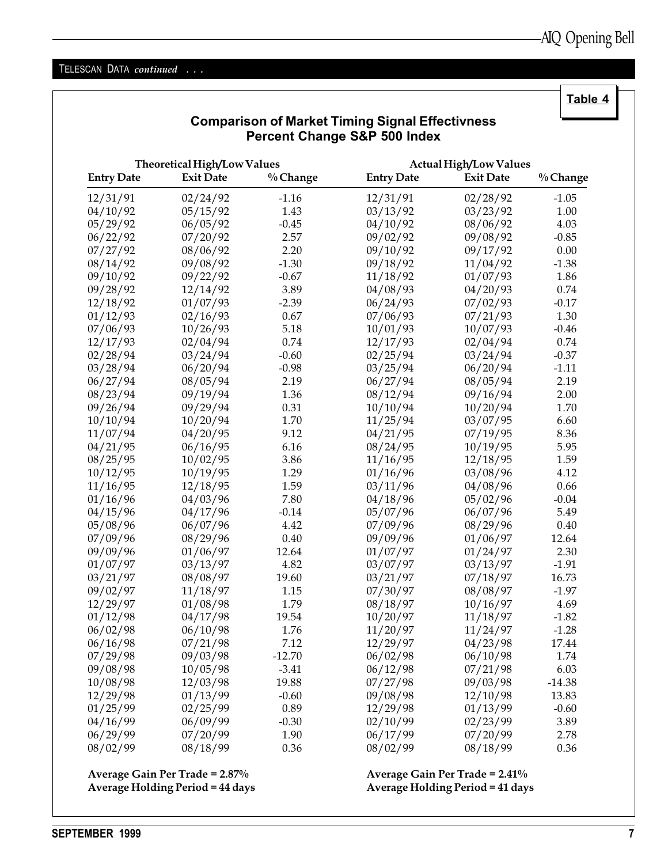#### TELESCAN DATA continued . . .

Comparison of Market Timing Signal Effectivness Percent Change S&P 500 Index Theoretical High/Low Values and the Actual High/Low Values Entry Date Exit Date % Change Entry Date Exit Date % Change 12/31/91 02/24/92 -1.16 12/31/91 02/28/92 -1.05 04/10/92 05/15/92 1.43 03/13/92 03/23/92 1.00 05/29/92 06/05/92 -0.45 04/10/92 08/06/92 4.03 06/22/92 07/20/92 2.57 09/02/92 09/08/92 -0.85 07/27/92 08/06/92 2.20 09/10/92 09/17/92 0.00 08/14/92 09/08/92 -1.30 09/18/92 11/04/92 -1.38 09/10/92 09/22/92 -0.67 11/18/92 01/07/93 1.86 09/28/92 12/14/92 3.89 04/08/93 04/20/93 0.74 12/18/92 01/07/93 -2.39 06/24/93 07/02/93 -0.17 01/12/93 02/16/93 0.67 07/06/93 07/21/93 1.30 07/06/93 10/26/93 5.18 10/01/93 10/07/93 -0.46 12/17/93 02/04/94 0.74 12/17/93 02/04/94 0.74 02/28/94 03/24/94 -0.60 02/25/94 03/24/94 -0.37 03/28/94 06/20/94 -0.98 03/25/94 06/20/94 -1.11 06/27/94 08/05/94 2.19 06/27/94 08/05/94 2.19 08/23/94 09/19/94 1.36 08/12/94 09/16/94 2.00 09/26/94 09/29/94 0.31 10/10/94 10/20/94 1.70 10/10/94 10/20/94 1.70 11/25/94 03/07/95 6.60 11/07/94 04/20/95 9.12 04/21/95 07/19/95 8.36 04/21/95 06/16/95 6.16 08/24/95 10/19/95 5.95 08/25/95 10/02/95 3.86 11/16/95 12/18/95 1.59 10/12/95 10/19/95 1.29 01/16/96 03/08/96 4.12 11/16/95 12/18/95 1.59 03/11/96 04/08/96 0.66 01/16/96 04/03/96 7.80 04/18/96 05/02/96 -0.04 04/15/96 04/17/96 -0.14 05/07/96 06/07/96 5.49 05/08/96 06/07/96 4.42 07/09/96 08/29/96 0.40 07/09/96 08/29/96 0.40 09/09/96 01/06/97 12.64 09/09/96 01/06/97 12.64 01/07/97 01/24/97 2.30 01/07/97 03/13/97 4.82 03/07/97 03/13/97 -1.91 03/21/97 08/08/97 19.60 03/21/97 07/18/97 16.73 09/02/97 11/18/97 1.15 07/30/97 08/08/97 -1.97 12/29/97 01/08/98 1.79 08/18/97 10/16/97 4.69 01/12/98 04/17/98 19.54 10/20/97 11/18/97 -1.82 06/02/98 06/10/98 1.76 11/20/97 11/24/97 -1.28 06/16/98 07/21/98 7.12 12/29/97 04/23/98 17.44 07/29/98 09/03/98 -12.70 06/02/98 06/10/98 1.74 09/08/98 10/05/98 -3.41 06/12/98 07/21/98 6.03 10/08/98 12/03/98 19.88 07/27/98 09/03/98 -14.38 12/29/98 01/13/99 -0.60 09/08/98 12/10/98 13.83 01/25/99 02/25/99 0.89 12/29/98 01/13/99 -0.60 04/16/99 06/09/99 -0.30 02/10/99 02/23/99 3.89 06/29/99 07/20/99 1.90 06/17/99 07/20/99 2.78 08/02/99 08/18/99 0.36 08/02/99 08/18/99 0.36

Average Gain Per Trade = 2.87% Average Gain Per Trade = 2.41%

Average Holding Period = 44 days Average Holding Period = 41 days

Table 4